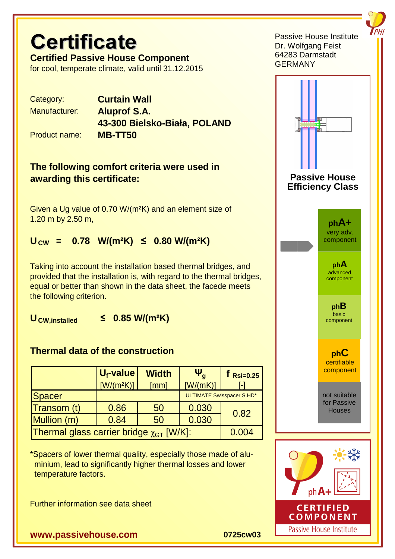# **Certificate**

**Certified Passive House Component** for cool, temperate climate, valid until 31.12.2015

Category: **Curtain Wall**

Manufacturer: **Aluprof S.A. 43-300 Bielsko-Biała, POLAND**

Product name: **MB-TT50**

## **The following comfort criteria were used in awarding this certificate:**

Given a Ug value of 0.70 W/(m²K) and an element size of 1.20 m by 2.50 m,

# $U_{\text{CW}} = 0.78 \text{ W/(m²K)} \le 0.80 \text{ W/(m²K)}$

Taking into account the installation based thermal bridges, and provided that the installation is, with regard to the thermal bridges, equal or better than shown in the data sheet, the facede meets the following criterion.

**UCW,installed ≤ 0.85 W/(m²K)**

## **Thermal data of the construction**

|                                                 | $U_f$ -value<br>$[W/(m^2K)]$ | <b>Width</b><br>[mm] | $\Psi_a$<br>[W/(mK)]             | $t$ Rsi=0.25<br>l-l |
|-------------------------------------------------|------------------------------|----------------------|----------------------------------|---------------------|
| Spacer                                          |                              |                      | <b>ULTIMATE Swisspacer S.HD*</b> |                     |
| Transom (t)                                     | 0.86                         | 50                   | 0.030                            | 0.82                |
| Mullion (m)                                     | 0.84                         | 50                   | 0.030                            |                     |
| Thermal glass carrier bridge $\chi_{GT}$ [W/K]: |                              |                      |                                  | 0.004               |

\*Spacers of lower thermal quality, especially those made of alu minium, lead to significantly higher thermal losses and lower temperature factors.

Further information see data sheet

**www.passivehouse.com 0725cw03**





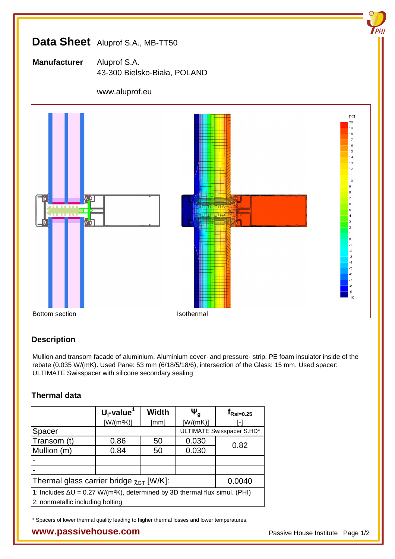# **Data Sheet** Aluprof S.A., MB-TT50

**Manufacturer** Aluprof S.A. 43-300 Bielsko-Biała, POLAND

#### www.aluprof.eu



#### **Description**

Mullion and transom facade of aluminium. Aluminium cover- and pressure- strip. PE foam insulator inside of the rebate (0.035 W/(mK). Used Pane: 53 mm (6/18/5/18/6), intersection of the Glass: 15 mm. Used spacer: ULTIMATE Swisspacer with silicone secondary sealing

#### **Thermal data**

|                                                                                      | $U_f$ -value <sup>1</sup> | <b>Width</b> | $\Psi_{\mathfrak{a}}$     | $t_{\text{Rsi}=0.25}$ |
|--------------------------------------------------------------------------------------|---------------------------|--------------|---------------------------|-----------------------|
|                                                                                      | $[W/(m^2K)]$              | [mm]         | [W/(mK)]                  | ۱.,                   |
| Spacer                                                                               |                           |              | ULTIMATE Swisspacer S.HD* |                       |
| Transom (t)                                                                          | 0.86                      | 50           | 0.030                     | 0.82                  |
| Mullion (m)                                                                          | 0.84                      | 50           | 0.030                     |                       |
|                                                                                      |                           |              |                           |                       |
|                                                                                      |                           |              |                           |                       |
| Thermal glass carrier bridge $\chi_{GT}$ [W/K]:                                      |                           |              |                           | 0.0040                |
| 1: Includes $\Delta U = 0.27 W/(m^2 K)$ , determined by 3D thermal flux simul. (PHI) |                           |              |                           |                       |
| 2: nonmetallic including bolting                                                     |                           |              |                           |                       |

\* Spacers of lower thermal quality leading to higher thermal losses and lower temperatures.

#### **WWW.passivehouse.com Passive House Institute Page 1/2**